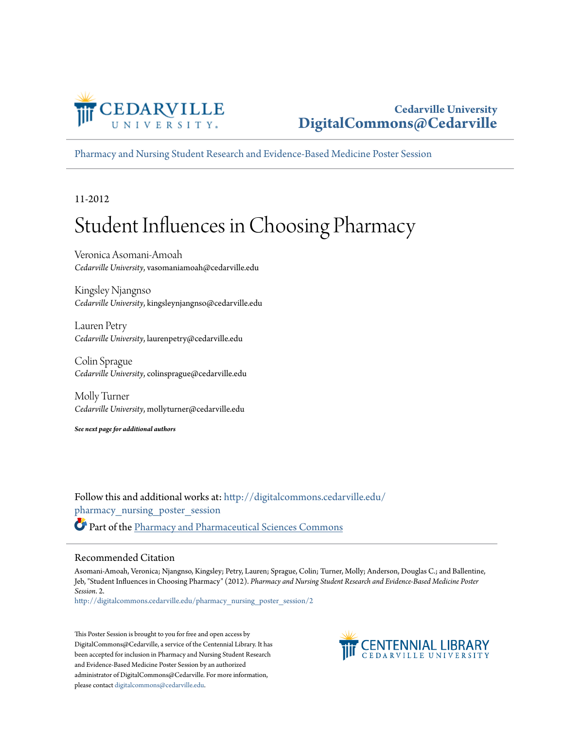

### **Cedarville University [DigitalCommons@Cedarville](http://digitalcommons.cedarville.edu?utm_source=digitalcommons.cedarville.edu%2Fpharmacy_nursing_poster_session%2F2&utm_medium=PDF&utm_campaign=PDFCoverPages)**

[Pharmacy and Nursing Student Research and Evidence-Based Medicine Poster Session](http://digitalcommons.cedarville.edu/pharmacy_nursing_poster_session?utm_source=digitalcommons.cedarville.edu%2Fpharmacy_nursing_poster_session%2F2&utm_medium=PDF&utm_campaign=PDFCoverPages)

11-2012

### Student Influences in Choosing Pharmacy

Veronica Asomani-Amoah *Cedarville University*, vasomaniamoah@cedarville.edu

Kingsley Njangnso *Cedarville University*, kingsleynjangnso@cedarville.edu

Lauren Petry *Cedarville University*, laurenpetry@cedarville.edu

Colin Sprague *Cedarville University*, colinsprague@cedarville.edu

Molly Turner *Cedarville University*, mollyturner@cedarville.edu

*See next page for additional authors*

Follow this and additional works at: [http://digitalcommons.cedarville.edu/](http://digitalcommons.cedarville.edu/pharmacy_nursing_poster_session?utm_source=digitalcommons.cedarville.edu%2Fpharmacy_nursing_poster_session%2F2&utm_medium=PDF&utm_campaign=PDFCoverPages) [pharmacy\\_nursing\\_poster\\_session](http://digitalcommons.cedarville.edu/pharmacy_nursing_poster_session?utm_source=digitalcommons.cedarville.edu%2Fpharmacy_nursing_poster_session%2F2&utm_medium=PDF&utm_campaign=PDFCoverPages) Part of the [Pharmacy and Pharmaceutical Sciences Commons](http://network.bepress.com/hgg/discipline/731?utm_source=digitalcommons.cedarville.edu%2Fpharmacy_nursing_poster_session%2F2&utm_medium=PDF&utm_campaign=PDFCoverPages)

### Recommended Citation

Asomani-Amoah, Veronica; Njangnso, Kingsley; Petry, Lauren; Sprague, Colin; Turner, Molly; Anderson, Douglas C.; and Ballentine, Jeb, "Student Influences in Choosing Pharmacy" (2012). *Pharmacy and Nursing Student Research and Evidence-Based Medicine Poster Session*. 2.

[http://digitalcommons.cedarville.edu/pharmacy\\_nursing\\_poster\\_session/2](http://digitalcommons.cedarville.edu/pharmacy_nursing_poster_session/2?utm_source=digitalcommons.cedarville.edu%2Fpharmacy_nursing_poster_session%2F2&utm_medium=PDF&utm_campaign=PDFCoverPages)

This Poster Session is brought to you for free and open access by DigitalCommons@Cedarville, a service of the Centennial Library. It has been accepted for inclusion in Pharmacy and Nursing Student Research and Evidence-Based Medicine Poster Session by an authorized administrator of DigitalCommons@Cedarville. For more information, please contact [digitalcommons@cedarville.edu.](mailto:digitalcommons@cedarville.edu)

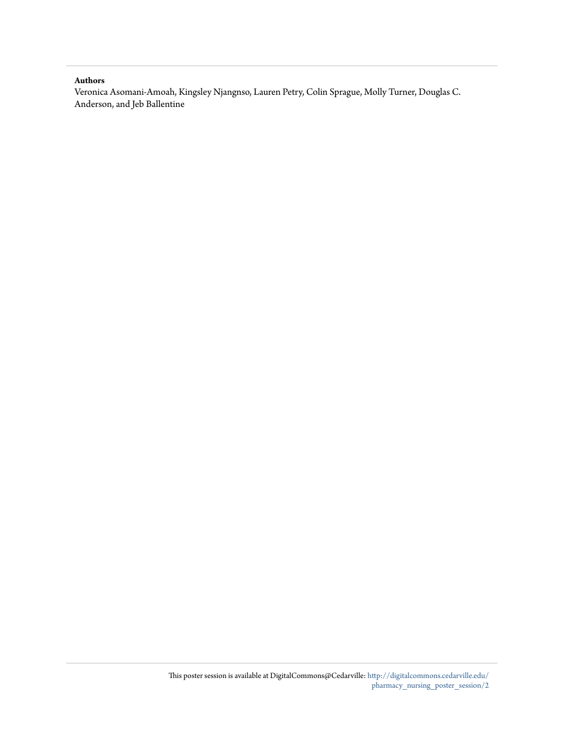### **Authors**

Veronica Asomani-Amoah, Kingsley Njangnso, Lauren Petry, Colin Sprague, Molly Turner, Douglas C. Anderson, and Jeb Ballentine